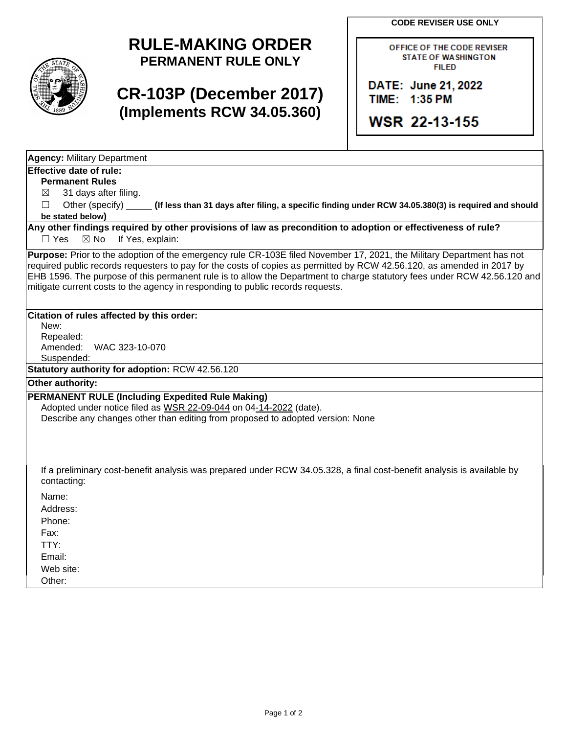**CODE REVISER USE ONLY**

## **RULE-MAKING ORDER PERMANENT RULE ONLY**

# **CR-103P (December 2017) (Implements RCW 34.05.360)**

OFFICE OF THE CODE REVISER **STATE OF WASHINGTON FILED** 

DATE: June 21, 2022 TIME: 1:35 PM

**WSR 22-13-155** 

**Agency:** Military Department

### **Effective date of rule:**

**Permanent Rules**

 $\boxtimes$  31 days after filing.

☐ Other (specify) **(If less than 31 days after filing, a specific finding under RCW 34.05.380(3) is required and should be stated below)**

**Any other findings required by other provisions of law as precondition to adoption or effectiveness of rule?** □ Yes ⊠ No If Yes, explain:

**Purpose:** Prior to the adoption of the emergency rule CR-103E filed November 17, 2021, the Military Department has not required public records requesters to pay for the costs of copies as permitted by RCW 42.56.120, as amended in 2017 by EHB 1596. The purpose of this permanent rule is to allow the Department to charge statutory fees under RCW 42.56.120 and mitigate current costs to the agency in responding to public records requests.

#### **Citation of rules affected by this order:**

New: Repealed: Amended: WAC 323-10-070 Suspended:

**Statutory authority for adoption:** RCW 42.56.120

#### **Other authority:**

#### **PERMANENT RULE (Including Expedited Rule Making)**

Adopted under notice filed as WSR 22-09-044 on 04-14-2022 (date).

Describe any changes other than editing from proposed to adopted version: None

If a preliminary cost-benefit analysis was prepared under RCW 34.05.328, a final cost-benefit analysis is available by contacting:

Name:

Address:

Phone:

Fax: TTY:

Email:

Web site:

Other: